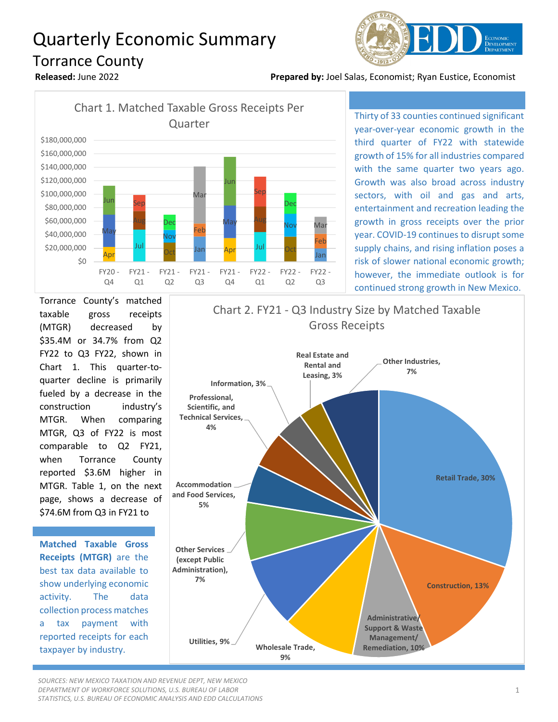## Quarterly Economic Summary Torrance County



**Released:** June 2022 **Prepared by:** Joel Salas, Economist; Ryan Eustice, Economist



Thirty of 33 counties continued significant year-over-year economic growth in the third quarter of FY22 with statewide growth of 15% for all industries compared with the same quarter two years ago. Growth was also broad across industry sectors, with oil and gas and arts, entertainment and recreation leading the growth in gross receipts over the prior year. COVID-19 continues to disrupt some supply chains, and rising inflation poses a risk of slower national economic growth; however, the immediate outlook is for continued strong growth in New Mexico.

Torrance County's matched taxable gross receipts (MTGR) decreased by \$35.4M or 34.7% from Q2 FY22 to Q3 FY22, shown in Chart 1. This quarter-toquarter decline is primarily fueled by a decrease in the construction industry's MTGR. When comparing MTGR, Q3 of FY22 is most comparable to Q2 FY21, when Torrance County reported \$3.6M higher in MTGR. Table 1, on the next page, shows a decrease of \$74.6M from Q3 in FY21 to

**Matched Taxable Gross Receipts (MTGR)** are the best tax data available to show underlying economic activity. The data collection process matches a tax payment with reported receipts for each taxpayer by industry.



*SOURCES: NEW MEXICO TAXATION AND REVENUE DEPT, NEW MEXICO DEPARTMENT OF WORKFORCE SOLUTIONS, U.S. BUREAU OF LABOR STATISTICS, U.S. BUREAU OF ECONOMIC ANALYSIS AND EDD CALCULATIONS*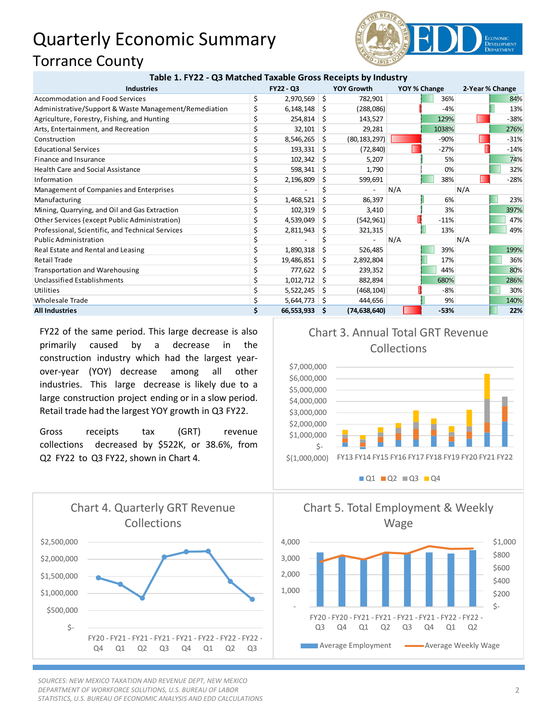## Quarterly Economic Summary Torrance County



| Table 1. FY22 - Q3 Matched Taxable Gross Receipts by Industry |           |            |    |                   |              |        |                 |        |
|---------------------------------------------------------------|-----------|------------|----|-------------------|--------------|--------|-----------------|--------|
| <b>Industries</b>                                             | FY22 - Q3 |            |    | <b>YOY Growth</b> | YOY % Change |        | 2-Year % Change |        |
| Accommodation and Food Services                               | \$        | 2,970,569  | \$ | 782,901           |              | 36%    |                 | 84%    |
| Administrative/Support & Waste Management/Remediation         | \$        | 6,148,148  | Ŝ. | (288,086)         |              | -4%    |                 | 13%    |
| Agriculture, Forestry, Fishing, and Hunting                   |           | 254,814    | S  | 143,527           |              | 129%   |                 | $-38%$ |
| Arts, Entertainment, and Recreation                           |           | 32,101     | Ŝ  | 29,281            |              | 1038%  |                 | 276%   |
| Construction                                                  |           | 8,546,265  | Ŝ  | (80, 183, 297)    |              | $-90%$ |                 | $-31%$ |
| <b>Educational Services</b>                                   |           | 193,331    | Ŝ  | (72, 840)         |              | $-27%$ |                 | $-14%$ |
| Finance and Insurance                                         |           | 102,342    | S  | 5,207             |              | 5%     |                 | 74%    |
| <b>Health Care and Social Assistance</b>                      |           | 598,341    | S  | 1,790             |              | 0%     |                 | 32%    |
| Information                                                   |           | 2,196,809  | S  | 599,691           |              | 38%    |                 | $-28%$ |
| Management of Companies and Enterprises                       |           |            |    |                   | N/A          |        | N/A             |        |
| Manufacturing                                                 |           | 1,468,521  | Ŝ  | 86,397            |              | 6%     |                 | 23%    |
| Mining, Quarrying, and Oil and Gas Extraction                 |           | 102,319    | S  | 3,410             |              | 3%     |                 | 397%   |
| Other Services (except Public Administration)                 |           | 4,539,049  | S  | (542, 961)        |              | $-11%$ |                 | 47%    |
| Professional, Scientific, and Technical Services              |           | 2,811,943  | S  | 321,315           |              | 13%    |                 | 49%    |
| <b>Public Administration</b>                                  |           |            |    |                   | N/A          |        | N/A             |        |
| Real Estate and Rental and Leasing                            |           | 1,890,318  | Ŝ. | 526,485           |              | 39%    |                 | 199%   |
| Retail Trade                                                  |           | 19,486,851 | S  | 2,892,804         |              | 17%    |                 | 36%    |
| <b>Transportation and Warehousing</b>                         |           | 777,622    | S  | 239,352           |              | 44%    |                 | 80%    |
| <b>Unclassified Establishments</b>                            |           | 1,012,712  | S  | 882,894           |              | 680%   |                 | 286%   |
| Utilities                                                     |           | 5,522,245  | Ŝ  | (468, 104)        |              | -8%    |                 | 30%    |
| <b>Wholesale Trade</b>                                        |           | 5,644,773  | S  | 444,656           |              | 9%     |                 | 140%   |
| <b>All Industries</b>                                         | Ś.        | 66,553,933 | -S | (74, 638, 640)    |              | $-53%$ |                 | 22%    |

FY22 of the same period. This large decrease is also primarily caused by a decrease in the construction industry which had the largest yearover-year (YOY) decrease among all other industries. This large decrease is likely due to a large construction project ending or in a slow period. Retail trade had the largest YOY growth in Q3 FY22.

Gross receipts tax (GRT) revenue collections decreased by \$522K, or 38.6%, from Q2 FY22 to Q3 FY22, shown in Chart 4.  $\frac{1}{5}(1,000,000)$ 



*SOURCES: NEW MEXICO TAXATION AND REVENUE DEPT, NEW MEXICO DEPARTMENT OF WORKFORCE SOLUTIONS, U.S. BUREAU OF LABOR STATISTICS, U.S. BUREAU OF ECONOMIC ANALYSIS AND EDD CALCULATIONS*